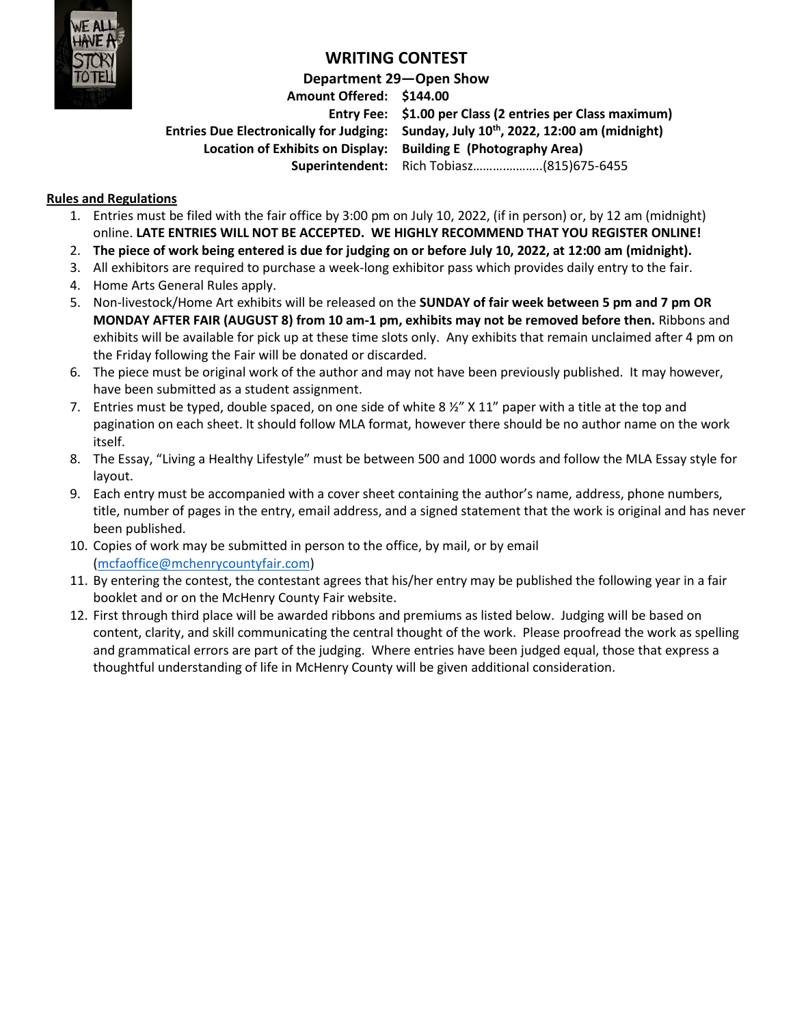

## **WRITING CONTEST**

#### **Department 29—Open Show**

**Amount Offered: \$144.00 Location of Exhibits on Display: Building E (Photography Area)**

**Entry Fee: \$1.00 per Class (2 entries per Class maximum) Entries Due Electronically for Judging: Sunday, July 10 th, 2022, 12:00 am (midnight) Superintendent:** Rich Tobiasz……….………..(815)675-6455

#### **Rules and Regulations**

- 1. Entries must be filed with the fair office by 3:00 pm on July 10, 2022, (if in person) or, by 12 am (midnight) online. **LATE ENTRIES WILL NOT BE ACCEPTED. WE HIGHLY RECOMMEND THAT YOU REGISTER ONLINE!**
- 2. **The piece of work being entered is due for judging on or before July 10, 2022, at 12:00 am (midnight).**
- 3. All exhibitors are required to purchase a week-long exhibitor pass which provides daily entry to the fair.
- 4. Home Arts General Rules apply.
- 5. Non-livestock/Home Art exhibits will be released on the **SUNDAY of fair week between 5 pm and 7 pm OR MONDAY AFTER FAIR (AUGUST 8) from 10 am-1 pm, exhibits may not be removed before then.** Ribbons and exhibits will be available for pick up at these time slots only. Any exhibits that remain unclaimed after 4 pm on the Friday following the Fair will be donated or discarded.
- 6. The piece must be original work of the author and may not have been previously published. It may however, have been submitted as a student assignment.
- 7. Entries must be typed, double spaced, on one side of white 8  $\frac{1}{2}$  X 11" paper with a title at the top and pagination on each sheet. It should follow MLA format, however there should be no author name on the work itself.
- 8. The Essay, "Living a Healthy Lifestyle" must be between 500 and 1000 words and follow the MLA Essay style for layout.
- 9. Each entry must be accompanied with a cover sheet containing the author's name, address, phone numbers, title, number of pages in the entry, email address, and a signed statement that the work is original and has never been published.
- 10. Copies of work may be submitted in person to the office, by mail, or by email [\(mcfaoffice@mchenrycountyfair.com\)](mailto:mcfaoffice@mchenrycountyfair.com)
- 11. By entering the contest, the contestant agrees that his/her entry may be published the following year in a fair booklet and or on the McHenry County Fair website.
- 12. First through third place will be awarded ribbons and premiums as listed below. Judging will be based on content, clarity, and skill communicating the central thought of the work. Please proofread the work as spelling and grammatical errors are part of the judging. Where entries have been judged equal, those that express a thoughtful understanding of life in McHenry County will be given additional consideration.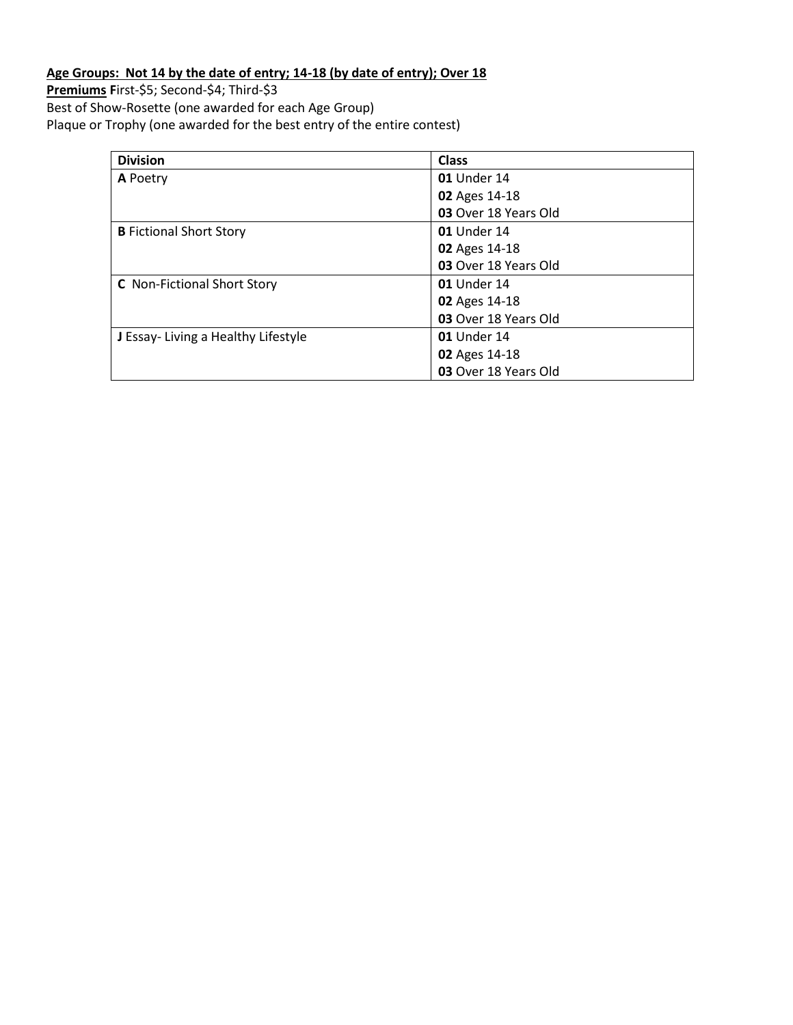### **Age Groups: Not 14 by the date of entry; 14-18 (by date of entry); Over 18**

**Premiums F**irst-\$5; Second-\$4; Third-\$3 Best of Show-Rosette (one awarded for each Age Group) Plaque or Trophy (one awarded for the best entry of the entire contest)

| <b>Division</b>                    | <b>Class</b>         |
|------------------------------------|----------------------|
| A Poetry                           | <b>01</b> Under 14   |
|                                    | 02 Ages 14-18        |
|                                    | 03 Over 18 Years Old |
| <b>B</b> Fictional Short Story     | <b>01</b> Under 14   |
|                                    | 02 Ages 14-18        |
|                                    | 03 Over 18 Years Old |
| <b>C</b> Non-Fictional Short Story | <b>01</b> Under 14   |
|                                    | 02 Ages 14-18        |
|                                    | 03 Over 18 Years Old |
| J Essay-Living a Healthy Lifestyle | <b>01</b> Under 14   |
|                                    | 02 Ages 14-18        |
|                                    | 03 Over 18 Years Old |